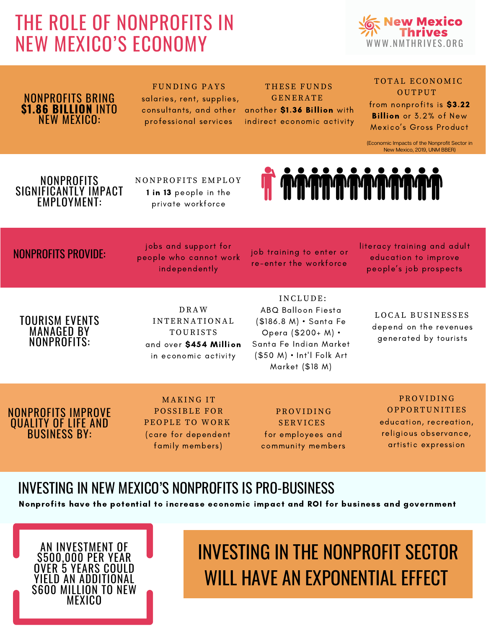### THE ROLE OF NONPROFITS IN NEW MEXICO'S ECONOMY



#### NONPROFITS BRING **\$1.86 BILLION** INTO NEW MEXICO:

#### FUNDING PAYS salaries, rent, supplies, consultants, and other professional services

THESE FUNDS **GENERATE** another \$1.36 Billion with indirect economic activity

#### TOTAL ECONOMIC **OUTPUT**

from nonprofits is \$3.22 Billion or 3.2% of New Mexico's Gross Product

(Economic Impacts of the Nonprofit Sector in New Mexico, 2019, UNM BBER)

#### **NONPROFITS** SIGNIFICANTLY IMPACT EMPLOYMENT:

NONPROFITS EMPLOY 1 in 13 people in the private workforce



#### NONPROFITS PROVIDE:

jobs and support for people who cannot work independently

job training to enter or re-enter the workforce

literacy training and adult education to improve people's job prospects

#### TOURISM EVENTS MANAGED BY NONPROFITS:

D RAW I N TER N ATI O N AL **TOURISTS** and over \$454 Million in economic activity

#### I N CL U D E: ABQ Balloon Fiesta (\$186.8 M) • Santa Fe Opera (\$200+ M) • Santa Fe Indian Market (\$50 M) • Int'l Folk Art Market (\$18 M)

LOCAL BUSINESSES depend on the revenues generated by tourists

#### NONPROFITS IMPROVE QUALITY OF LIFE AND BUSINESS BY:

**MAKING IT** POSSIBLE FOR PEOPLE TO WORK (care for dependent family members)

PR O VI D I N G SERVICES for employees and community members

PR O VI D I N G **OPPORTUNITIES** education, recreation, religious observance, artistic expression

### INVESTING IN NEW MEXICO'S NONPROFITS IS PRO-BUSINESS

Nonprofits have the potential to increase economic impact and ROI for business and government



### INVESTING IN THE NONPROFIT SECTOR WILL HAVE AN EXPONENTIAL EFFECT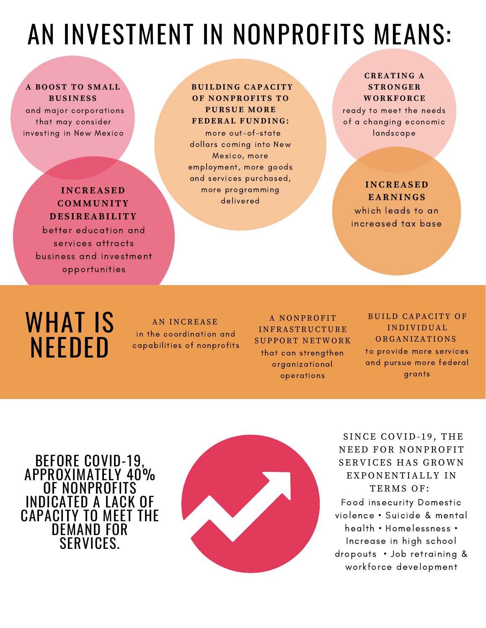## AN INVESTMENT IN NONPROFITS MEANS:

#### **A B O O ST T O SMAL L BUS INE S S**

and major corporations that may consider investing in New Mexico

#### **INCREAS ED C OMMUNITY DE S IREABI L ITY**

better education and services attracts business and investment opportunities

#### **BUI LDING CAPACITY O F NONPR O F ITS T O PURSUE MO RE F EDERAL FUNDING:**

more out-of-state dollars coming into New Mexico, more employment, more goods and services purchased, more programming delivered

#### **CREATING A STR ONGER WO R K F O RCE**

ready to meet the needs of a changing economic landscape

#### **INCREAS ED EARNINGS**

which leads to an increased tax base

## WHAT IS NEEDED

A N I N CREASE in the coordination and capabilities of nonprofits

A NONPROFIT I N FRASTR U CT U RE SUPPORT NETWORK that can strengthen organizational operations

#### BUILD CAPACITY OF I N D IVI D U AL ORGANIZATIONS to provide more services and pursue more federal grants

BEFORE COVID-19, APPROXIMATELY 40% OF NONPROFITS INDICATED A LACK OF CAPACITY TO MEET THE DEMAND FOR **SERVICES** 



SINCE COVID-19, THE NEED FOR NONPROFIT SERVICES HAS GROWN EXPONENTIALLY IN TERMS OF: Food insecurity Domestic violence • Suicide & mental health • Homelessness •

Increase in high school dropouts • Job retraining & workforce development